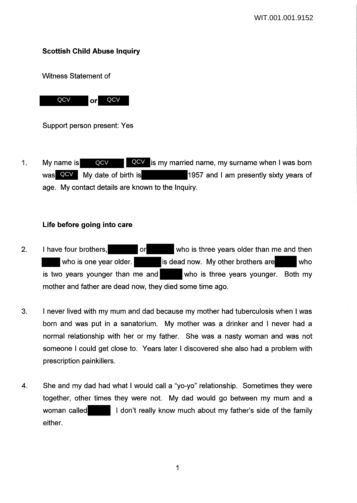# **Scottish Child Abuse Inquiry**

Witness Statement of



Support person present: Yes

1. My name is **QCV QCV** is my married name, my surname when I was born 1957 and I am presently sixty years of age. My contact details are known to the Inquiry. was QCV My date of birth is QCV

## **Life before going into care**

- 2. I have four brothers, or who is three years older than me and then who is one year older. **is dead now.** My other brothers are who is two years younger than me and who is three years younger. Both my mother and father are dead now, they died some time ago.
- 3. I never lived with my mum and dad because my mother had tuberculosis when I was born and was put in a sanatorium. My mother was a drinker and I never had a normal relationship with her or my father. She was a nasty woman and was not someone I could get close to. Years later I discovered she also had a problem with prescription painkillers.
- 4. She and my dad had what I would call a "yo-yo" relationship. Sometimes they were together, other times they were not. My dad would go between my mum and a woman called I don't really know much about my father's side of the family either.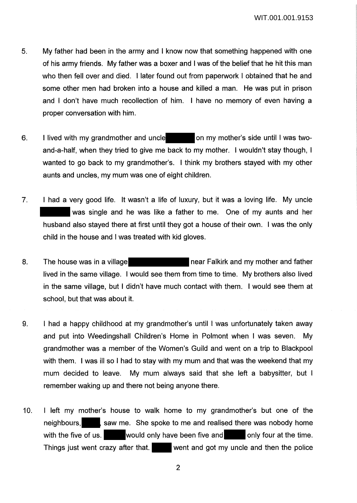- 5. My father had been in the army and I know now that something happened with one of his army friends. My father was a boxer and I was of the belief that he hit this man who then fell over and died. I later found out from paperwork I obtained that he and some other men had broken into a house and killed a man. He was put in prison and I don't have much recollection of him. I have no memory of even having a proper conversation with him.
- 6. I lived with my grandmother and uncle **on my mother's side until I was two**and-a-half, when they tried to give me back to my mother. I wouldn't stay though, I wanted to go back to my grandmother's. I think my brothers stayed with my other aunts and uncles, my mum was one of eight children.
- 7. I had a very good life. It wasn't a life of luxury, but it was a loving life. My uncle was single and he was like a father to me. One of my aunts and her husband also stayed there at first until they got a house of their own. I was the only child in the house and I was treated with kid gloves.
- 8. The house was in a village near Falkirk and my mother and father lived in the same village. I would see them from time to time. My brothers also lived in the same village, but I didn't have much contact with them. I would see them at school, but that was about it.
- 9. I had a happy childhood at my grandmother's until I was unfortunately taken away and put into Weedingshall Children's Home in Polmont when I was seven. My grandmother was a member of the Women's Guild and went on a trip to Blackpool with them. I was ill so I had to stay with my mum and that was the weekend that my mum decided to leave. My mum always said that she left a babysitter, but I remember waking up and there not being anyone there.
- 10. I left my mother's house to walk home to my grandmother's but one of the neighbours, saw me. She spoke to me and realised there was nobody home with the five of us. would only have been five and only four at the time. Things just went crazy after that. Went and got my uncle and then the police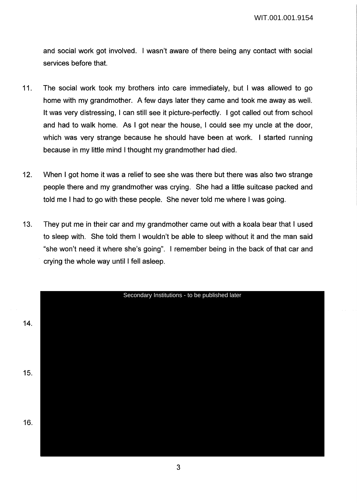and social work got involved. I wasn't aware of there being any contact with social services before that.

- 11. The social work took my brothers into care immediately, but I was allowed to go home with my grandmother. A few days later they came and took me away as well. It was very distressing, I can still see it picture-perfectly. I got called out from school and had to walk home. As I got near the house, I could see my uncle at the door, which was very strange because he should have been at work. I started running because in my little mind I thought my grandmother had died.
- 12. When I got home it was a relief to see she was there but there was also two strange people there and my grandmother was crying. She had a little suitcase packed and told me I had to go with these people. She never told me where I was going.
- 13. They put me in their car and my grandmother came out with a koala bear that I used to sleep with. She told them I wouldn't be able to sleep without it and the man said "she won't need it where she's going". I remember being in the back of that car and crying the whole way until I fell asleep.

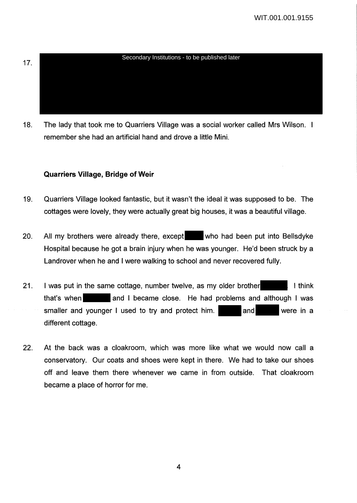# 17. Secondary Institutions - to be published later

18. The lady that took me to Quarriers Village was a social worker called Mrs Wilson. remember she had an artificial hand and drove a little Mini.

# **Quarriers Village, Bridge of Weir**

- 19. Quarriers Village looked fantastic, but it wasn't the ideal it was supposed to be. The cottages were lovely, they were actually great big houses, it was a beautiful village.
- 20. All my brothers were already there, except who had been put into Bellsdyke Hospital because he got a brain injury when he was younger. He'd been struck by a Landrover when he and I were walking to school and never recovered fully.
- 21. I was put in the same cottage, number twelve, as my older brother that's when and I became close. He had problems and although I was smaller and younger I used to try and protect him. and and were in a different cottage.
- 22. At the back was a cloakroom, which was more like what we would now call a conservatory. Our coats and shoes were kept in there. We had to take our shoes off and leave them there whenever we came in from outside. That cloakroom became a place of horror for me.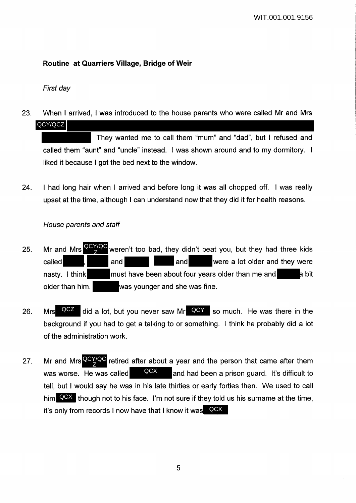# **Routine at Quarriers Village, Bridge of Weir**

First day

23. When I arrived, I was introduced to the house parents who were called Mr and Mrs QCY/QCZ

They wanted me to call them "mum" and "dad", but I refused and called them "aunt" and "uncle" instead. I was shown around and to my dormitory. liked it because I got the bed next to the window.

24. I had long hair when I arrived and before long it was all chopped off. I was really upset at the time, although I can understand now that they did it for health reasons.

House parents and staff

- 25. Mr and Mrs **Way weren't too bad, they didn't beat you, but they had three kids** called and and and and and were a lot older and they were nasty. I think must have been about four years older than me and bit older than him. was younger and she was fine. Mr and Mrs Z
- 26. Mrs  $QCZ$  did a lot, but you never saw Mr  $QCY$  so much. He was there in the background if you had to get a talking to or something. I think he probably did a tot of the administration work. QCZ
- 27. Mr and Mrs  $^{QCY/QC}$  retired after about a year and the person that came after them was worse. He was called  $\frac{QCX}{q}$  and had been a prison guard. It's difficult to tell, but I would say he was in his late thirties or early forties then. We used to call him  $\overline{QCX}$  though not to his face. I'm not sure if they told us his surname at the time, it's only from records I now have that I know it was QCX QCX Z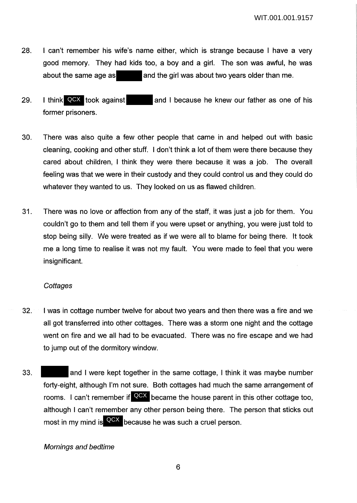- 28. I can't remember his wife's name either, which is strange because I have a very good memory. They had kids too, a boy and a girl. The son was awful, he was about the same age as and the girl was about two years older than me.
- 29. I think QCX took against and I because he knew our father as one of his former prisoners. I think QCX took against
- 30. There was also quite a few other people that came in and helped out with basic cleaning, cooking and other stuff. I don't think a lot of them were there because they cared about children, I think they were there because it was a job. The overall feeling was that we were in their custody and they could control us and they could do whatever they wanted to us. They looked on us as flawed children.
- 31. There was no love or affection from any of the staff, it was just a job for them. You couldn't go to them and tell them if you were upset or anything, you were just told to stop being silly. We were treated as if we were all to blame for being there. It took me a long time to realise it was not my fault. You were made to feel that you were insignificant.

#### **Cottages**

- 32. I was in cottage number twelve for about two years and then there was a fire and we all got transferred into other cottages. There was a storm one night and the cottage went on fire and we all had to be evacuated. There was no fire escape and we had to jump out of the dormitory window.
- 33. **A** and I were kept together in the same cottage, I think it was maybe number forty-eight, although I'm not sure. Both cottages had much the same arrangement of rooms. I can't remember if  $\overline{QCX}$  became the house parent in this other cottage too, although I can't remember any other person being there. The person that sticks out most in my mind is <sup>QCX</sup> because he was such a cruel person.

## Mornings and bedtime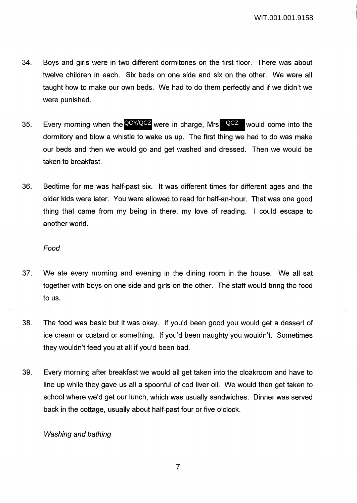- 34. Boys and girls were in two different dormitories on the first floor. There was about twelve children in each. Six beds on one side and six on the other. We were all taught how to make our own beds. We had to do them perfectly and if we didn't we were punished.
- 35. Every morning when the **QCY/QCZ** were in charge, Mrs QCZ would come into the dormitory and blow a whistle to wake us up. The first thing we had to do was make our beds and then we would go and get washed and dressed. Then we would be taken to breakfast.
- 36. Bedtime for me was half-past six. It was different times for different ages and the older kids were later. You were allowed to read for half-an-hour. That was one good thing that came from my being in there, my love of reading. I could escape to another world.

*Food* 

- 37. We ate every morning and evening in the dining room in the house. We all sat together with boys on one side and girls on the other. The staff would bring the food to us.
- 38. The food was basic but it was okay. If you'd been good you would get a dessert of ice cream or custard or something. If you'd been naughty you wouldn't. Sometimes they wouldn't feed you at all if you'd been bad.
- 39. Every morning after breakfast we would all get taken into the cloakroom and have to line up while they gave us all a spoonful of cod liver oil. We would then get taken to school where we'd get our lunch, which was usually sandwiches. Dinner was served back in the cottage, usually about half-past four or five o'clock.

## Washing and bathing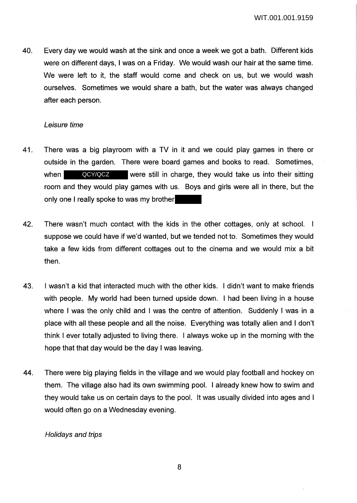40. Every day we would wash at the sink and once a week we got a bath. Different kids were on different days, I was on a Friday. We would wash our hair at the same time. We were left to it, the staff would come and check on us, but we would wash ourselves. Sometimes we would share a bath, but the water was always changed after each person.

#### Leisure time

- 41. There was a big playroom with a TV in it and we could play games in there or outside in the garden. There were board games and books to read. Sometimes, when **QCY/QCZ** were still in charge, they would take us into their sitting room and they would play games with us. Boys and girls were all in there, but the only one I really spoke to was my brother
- 42. There wasn't much contact with the kids in the other cottages, only at school. I suppose we could have if we'd wanted, but we tended not to. Sometimes they would take a few kids from different cottages out to the cinema and we would mix a bit then.
- 43. I wasn't a kid that interacted much with the other kids. I didn't want to make friends with people. My world had been turned upside down. I had been living in a house where I was the only child and I was the centre of attention. Suddenly I was in a place with all these people and all the noise. Everything was totally alien and I don't think I ever totally adjusted to living there. I always woke up in the morning with the hope that that day would be the day I was leaving.
- 44. There were big playing fields in the village and we would play football and hockey on them. The village also had its own swimming pool. I already knew how to swim and they would take us on certain days to the pool. It was usually divided into ages and I would often go on a Wednesday evening.

## Holidays and trips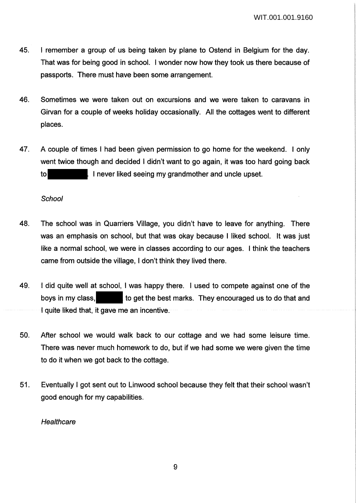- 45. I remember a group of us being taken by plane to Ostend in Belgium for the day. That was for being good in school. I wonder now how they took us there because of passports. There must have been some arrangement.
- 46. Sometimes we were taken out on excursions and we were taken to caravans in Girvan for a couple of weeks holiday occasionally. All the cottages went to different places.
- 47. A couple of times I had been given permission to go home for the weekend. I only went twice though and decided I didn't want to go again, it was too hard going back to I never liked seeing my grandmother and uncle upset.

**School** 

- 48. The school was in Quarriers Village, you didn't have to leave for anything. There was an emphasis on school, but that was okay because I liked school. It was just like a normal school, we were in classes according to our ages. I think the teachers came from outside the village, I don't think they lived there.
- 49. I did quite well at school, I was happy there. I used to compete against one of the boys in my class, **the set the best marks.** They encouraged us to do that and I quite liked that, it gave me an incentive.
- 50. After school we would walk back to our cottage and we had some leisure time. There was never much homework to do, but if we had some we were given the time to do it when we got back to the cottage.
- 51. Eventually I got sent out to Linwood school because they felt that their school wasn't good enough for my capabilities.

**Healthcare**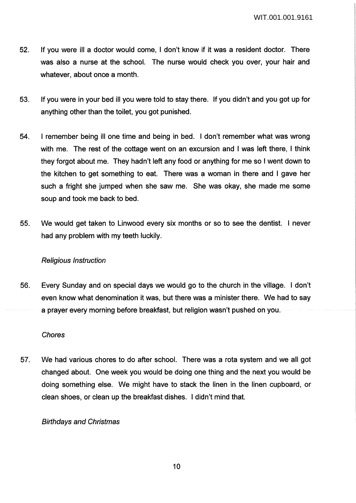- 52. If you were ill a doctor would come, I don't know if it was a resident doctor. There was also a nurse at the school. The nurse would check you over, your hair and whatever, about once a month.
- 53. If you were in your bed ill you were told to stay there. If you didn't and you got up for anything other than the toilet, you got punished.
- 54. I remember being ill one time and being in bed. I don't remember what was wrong with me. The rest of the cottage went on an excursion and I was left there, I think they forgot about me. They hadn't left any food or anything for me so I went down to the kitchen to get something to eat. There was a woman in there and I gave her such a fright she jumped when she saw me. She was okay, she made me some soup and took me back to bed.
- 55. We would get taken to Linwood every six months or so to see the dentist. I never had any problem with my teeth luckily.

## Religious Instruction

56. Every Sunday and on special days we would go to the church in the village. I don't even know what denomination it was, but there was a minister there. We had to say a prayer every morning before breakfast, but religion wasn't pushed on you.

## Chores

57. We had various chores to do after school. There was a rota system and we all got changed about. One week you would be doing one thing and the next you would be doing something else. We might have to stack the linen in the linen cupboard, or clean shoes, or clean up the breakfast dishes. I didn't mind that.

## Birthdays and Christmas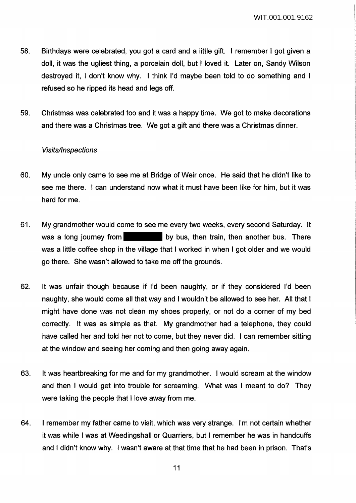- 58. Birthdays were celebrated, you got a card and a little gift. I remember I got given a doll, it was the ugliest thing, a porcelain doll, but I loved it. Later on, Sandy Wilson destroyed it, I don't know why. I think I'd maybe been told to do something and I refused so he ripped its head and legs off.
- 59. Christmas was celebrated too and it was a happy time. We got to make decorations and there was a Christmas tree. We got a gift and there was a Christmas dinner.

#### Visits/Inspections

- 60. My uncle only came to see me at Bridge of Weir once. He said that he didn't like to see me there. I can understand now what it must have been like for him, but it was hard for me.
- 61. My grandmother would come to see me every two weeks, every second Saturday. It was a long journey from by bus, then train, then another bus. There was a little coffee shop in the village that I worked in when I got older and we would go there. She wasn't allowed to take me off the grounds.
- 62. It was unfair though because if I'd been naughty, or if they considered I'd been naughty, she would come all that way and I wouldn't be allowed to see her. All that I might have done was not clean my shoes properly, or not do a corner of my bed correctly. It was as simple as that. My grandmother had a telephone, they could have called her and told her not to come, but they never did. I can remember sitting at the window and seeing her coming and then going away again.
- 63. It was heartbreaking for me and for my grandmother. I would scream at the window and then I would get into trouble for screaming. What was I meant to do? They were taking the people that I love away from me.
- 64. I remember my father came to visit, which was very strange. I'm not certain whether it was while I was at Weedingshall or Quarriers, but I remember he was in handcuffs and I didn't know why. I wasn't aware at that time that he had been in prison. That's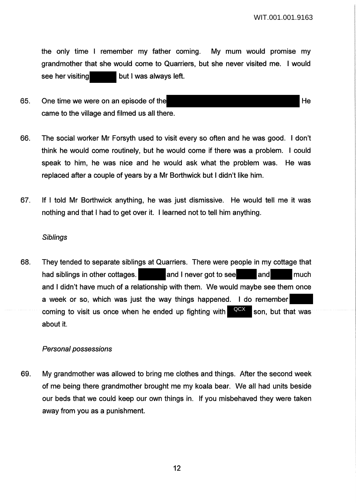the only time I remember my father coming. My mum would promise my grandmother that she would come to Quarriers, but she never visited me. I would see her visiting but I was always left.

- 65. One time we were on an episode of the Hermann state of the Hermann state  $He$ came to the village and filmed us all there.
- 66. The social worker Mr Forsyth used to visit every so often and he was good. I don't think he would come routinely, but he would come if there was a problem. I could speak to him, he was nice and he would ask what the problem was. He was replaced after a couple of years by a Mr Borthwick but I didn't like him.
- 67. If I told Mr Borthwick anything, he was just dismissive. He would tell me it was nothing and that I had to get over it. I learned not to tell him anything.

#### **Siblings**

68. They tended to separate siblings at Quarriers. There were people in my cottage that had siblings in other cottages. **A next and I never got to see and and much** much and I didn't have much of a relationship with them. We would maybe see them once a week or so, which was just the way things happened. I do remember coming to visit us once when he ended up fighting with  $QGX$  son, but that was about it. QCX

#### Personal possessions

69. My grandmother was allowed to bring me clothes and things. After the second week of me being there grandmother brought me my koala bear. We all had units beside our beds that we could keep our own things in. If you misbehaved they were taken away from you as a punishment.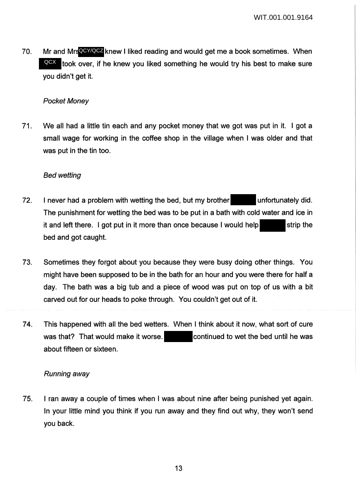70. Mr and Mrs**QCY/QCZ** knew I liked reading and would get me a book sometimes. When QCX took over, if he knew you liked something he would try his best to make sure you didn't get it.

## Pocket Money

71. We all had a little tin each and any pocket money that we got was put in it. I got a small wage for working in the coffee shop in the village when I was older and that was put in the tin too.

# Bed wetting

- 72. I never had a problem with wetting the bed, but my brother unfortunately did. The punishment for wetting the bed was to be put in a bath with cold water and ice in it and left there. I got put in it more than once because I would help  $\blacksquare$  strip the bed and got caught.
- 73. Sometimes they forgot about you because they were busy doing other things. You might have been supposed to be in the bath for an hour and you were there for half a day. The bath was a big tub and a piece of wood was put on top of us with a bit carved out for our heads to poke through. You couldn't get out of it.
- 74. This happened with all the bed wetters. When I think about it now, what sort of cure was that? That would make it worse. continued to wet the bed until he was about fifteen or sixteen.

## Running away

75. I ran away a couple of times when I was about nine after being punished yet again. In your little mind you think if you run away and they find out why, they won't send you back.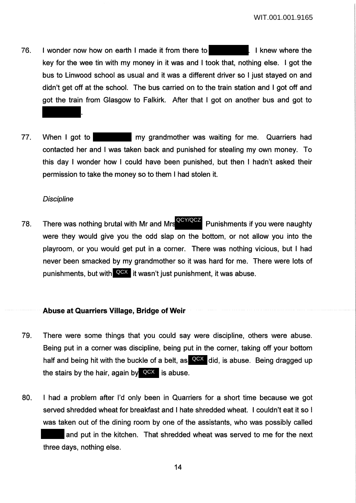- 76. I wonder now how on earth I made it from there to **I can be interested** I knew where the key for the wee tin with my money in it was and I took that, nothing else. I got the bus to Linwood school as usual and it was a different driver so I just stayed on and didn't get off at the school. The bus carried on to the train station and I got off and got the train from Glasgow to Falkirk. After that I got on another bus and got to .
- 77. When I got to my grandmother was waiting for me. Quarriers had contacted her and I was taken back and punished for stealing my own money. To this day I wonder how I could have been punished, but then I hadn't asked their permission to take the money so to them I had stolen it.

#### **Discipline**

78. There was nothing brutal with Mr and Mrs<sup>QCY/QCZ</sup> Punishments if you were naughty were they would give you the odd slap on the bottom, or not allow you into the playroom, or you would get put in a corner. There was nothing vicious, but I had never been smacked by my grandmother so it was hard for me. There were lots of punishments, but with  $Q$ CX it wasn't just punishment, it was abuse.

#### **Abuse at Quarriers Village, Bridge of Weir**

- 79. There were some things that you could say were discipline, others were abuse. Being put in a corner was discipline, being put in the corner, taking off your bottom half and being hit with the buckle of a belt, as **QCX** did, is abuse. Being dragged up the stairs by the hair, again by  $\overline{Q}$ CX is abuse.
- 80. I had a problem after I'd only been in Quarriers for a short time because we got served shredded wheat for breakfast and I hate shredded wheat. I couldn't eat it so I was taken out of the dining room by one of the assistants, who was possibly called and put in the kitchen. That shredded wheat was served to me for the next three days, nothing else.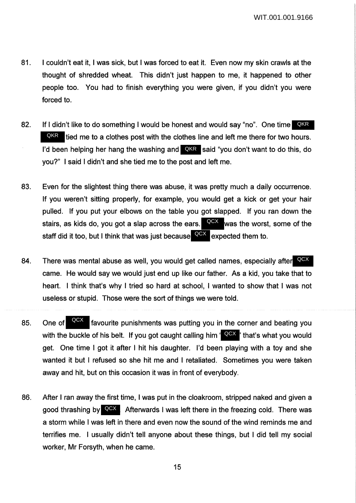- 81. I couldn't eat it, I was sick, but I was forced to eat it. Even now my skin crawls at the thought of shredded wheat. This didn't just happen to me, it happened to other people too. You had to finish everything you were given, if you didn't you were forced to.
- 82. If I didn't like to do something I would be honest and would say "no". One time QKR tied me to a clothes post with the clothes line and left me there for two hours. I'd been helping her hang the washing and **LOKR** said "you don't want to do this, do you?" I said I didn't and she tied me to the post and left me. QKR
- 83. Even for the slightest thing there was abuse, it was pretty much a daily occurrence. If you weren't sitting properly, for example, you would get a kick or get your hair pulled. If you put your elbows on the table you got slapped. If you ran down the stairs, as kids do, you got a slap across the ears. staff did it too, but I think that was just because **QCX** expected them to. QCX was the worst, some of the
- 84. There was mental abuse as well, you would get called names, especially after QCX came. He would say we would just end up like our father. As a kid, you take that to heart. I think that's why I tried so hard at school, I wanted to show that I was not useless or stupid. Those were the sort of things we were told.
- 85. One of **NAM** favourite punishments was putting you in the corner and beating you with the buckle of his belt. If you got caught calling him ' QCX ' that's what you would get. One time I got it after I hit his daughter. I'd been playing with a toy and she wanted it but I refused so she hit me and I retaliated. Sometimes you were taken away and hit, but on this occasion it was in front of everybody. QCX
- 86. After I ran away the first time, I was put in the cloakroom, stripped naked and given a good thrashing by **QCX**. Afterwards I was left there in the freezing cold. There was a storm while I was left in there and even now the sound of the wind reminds me and terrifies me. I usually didn't tell anyone about these things, but I did tell my social worker, Mr Forsyth, when he came.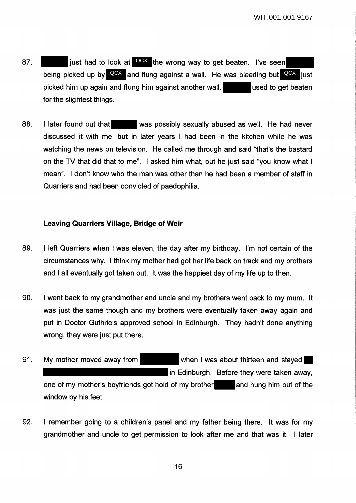- 87. just had to look at <sup>QCX</sup> the wrong way to get beaten. I've seen being picked up by **QCX** and flung against a wall. He was bleeding but QCX just picked him up again and flung him against another wall. **used to get beaten** for the slightest things.
- 88. I later found out that was possibly sexually abused as well. He had never discussed it with me, but in later years I had been in the kitchen while he was watching the news on television. He called me through and said "that's the bastard on the TV that did that to me". I asked him what, but he just said "you know what I mean". I don't know who the man was other than he had been a member of staff in Quarriers and had been convicted of paedophilia.

### **Leaving Quarriers Village, Bridge of Weir**

- 89. I left Quarriers when I was eleven, the day after my birthday. I'm not certain of the circumstances why. I think my mother had got her life back on track and my brothers and I all eventually got taken out. It was the happiest day of my life up to then.
- 90. I went back to my grandmother and uncle and my brothers went back to my mum. It was just the same though and my brothers were eventually taken away again and put in Doctor Guthrie's approved school in Edinburgh. They hadn't done anything wrong, they were just put there.
- 91. My mother moved away from when I was about thirteen and stayed in Edinburgh. Before they were taken away, one of my mother's boyfriends got hold of my brother and hung him out of the window by his feet.
- 92. I remember going to a children's panel and my father being there. It was for my grandmother and uncle to get permission to look after me and that was it. I later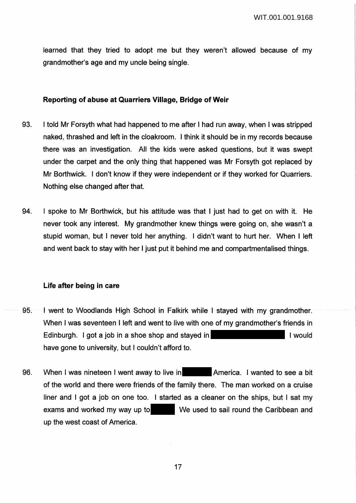learned that they tried to adopt me but they weren't allowed because of my grandmother's age and my uncle being single.

# **Reporting of abuse at Quarriers Village, Bridge of Weir**

- 93. I told Mr Forsyth what had happened to me after I had run away, when I was stripped naked, thrashed and left in the cloakroom. I think it should be in my records because there was an investigation. All the kids were asked questions, but it was swept under the carpet and the only thing that happened was Mr Forsyth got replaced by Mr Borthwick. I don't know if they were independent or if they worked for Quarriers. Nothing else changed after that.
- 94. I spoke to Mr Borthwick, but his attitude was that I just had to get on with it. He never took any interest. My grandmother knew things were going on, she wasn't a stupid woman, but I never told her anything. I didn't want to hurt her. When I left and went back to stay with her I just put it behind me and compartmentalised things.

# **Life after being in care**

- 95. I went to Woodlands High School in Falkirk while I stayed with my grandmother. When I was seventeen I left and went to live with one of my grandmother's friends in Edinburgh. I got a job in a shoe shop and stayed in I would I would have gone to university, but I couldn't afford to.
- 96. When I was nineteen I went away to live in America. I wanted to see a bit of the world and there were friends of the family there. The man worked on a cruise liner and I got a job on one too. I started as a cleaner on the ships, but I sat my exams and worked my way up to We used to sail round the Caribbean and up the west coast of America.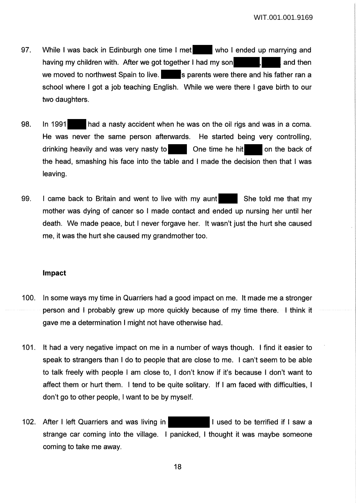- 97. While I was back in Edinburgh one time I met who I ended up marrying and having my children with. After we got together I had my son  $\blacksquare$ , and then we moved to northwest Spain to live.  $\|\cdot\|$  is parents were there and his father ran a school where I got a job teaching English. While we were there I gave birth to our two daughters.
- 98. In 1991 had a nasty accident when he was on the oil rigs and was in a coma. He was never the same person afterwards. He started being very controlling, drinking heavily and was very nasty to One time he hit on the back of the head, smashing his face into the table and I made the decision then that I was leaving.
- 99. I came back to Britain and went to live with my aunt She told me that my mother was dying of cancer so I made contact and ended up nursing her until her death. We made peace, but I never forgave her. It wasn't just the hurt she caused me, it was the hurt she caused my grandmother too.

#### **Impact**

- 100. In some ways my time in Quarriers had a good impact on me. It made me a stronger person and I probably grew up more quickly because of my time there. I think it gave me a determination I might not have otherwise had.
- 101. It had a very negative impact on me in a number of ways though. I find it easier to speak to strangers than I do to people that are close to me. I can't seem to be able to talk freely with people I am close to, I don't know if it's because I don't want to affect them or hurt them. I tend to be quite solitary. If I am faced with difficulties, I don't go to other people, I want to be by myself.
- 102. After I left Quarriers and was living in **I can be all used to be terrified if I saw a** strange car coming into the village. I panicked, I thought it was maybe someone coming to take me away.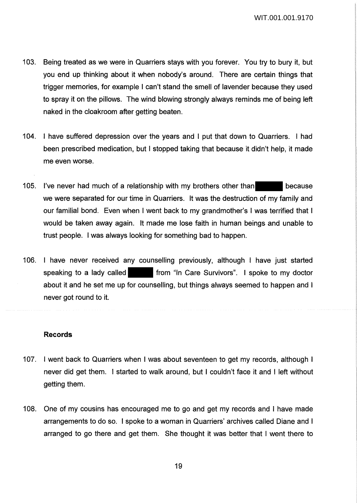- 103. Being treated as we were in Quarriers stays with you forever. You try to bury it, but you end up thinking about it when nobody's around. There are certain things that trigger memories, for example I can't stand the smell of lavender because they used to spray it on the pillows. The wind blowing strongly always reminds me of being left naked in the cloakroom after getting beaten.
- 104. I have suffered depression over the years and I put that down to Quarriers. I had been prescribed medication, but I stopped taking that because it didn't help, it made me even worse.
- 105. I've never had much of a relationship with my brothers other than because we were separated for our time in Quarriers. It was the destruction of my family and our familial bond. Even when I went back to my grandmother's I was terrified that I would be taken away again. It made me lose faith in human beings and unable to trust people. I was always looking for something bad to happen.
- 106. I have never received any counselling previously, although I have just started speaking to a lady called **from** "In Care Survivors". I spoke to my doctor about it and he set me up for counselling, but things always seemed to happen and I never got round to it.

#### **Records**

- 107. I went back to Quarriers when I was about seventeen to get my records, although I never did get them. I started to walk around, but I couldn't face it and I left without getting them.
- 108. One of my cousins has encouraged me to go and get my records and I have made arrangements to do so. I spoke to a woman in Quarriers' archives called Diane and I arranged to go there and get them. She thought it was better that I went there to